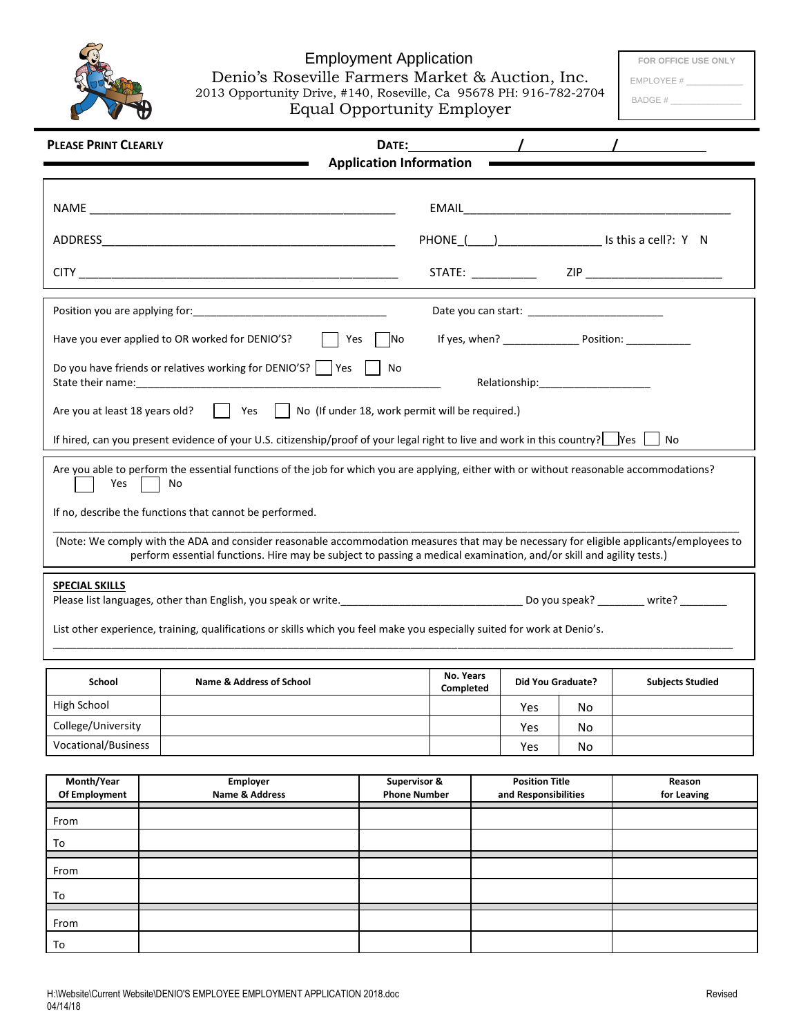

## Employment Application Denio's Roseville Farmers Market & Auction, Inc. 2013 Opportunity Drive, #140, Roseville, Ca 95678 PH: 916-782-2704

**FOR OFFICE USE ONLY**

EMPLOYEE # \_\_\_\_\_\_\_\_\_\_\_\_

| <b>Equal Opportunity Employer</b> |  |
|-----------------------------------|--|
|-----------------------------------|--|

BADGE # \_\_\_\_\_\_\_\_\_\_\_\_\_\_\_

| $\frac{1}{2}$<br><b>PLEASE PRINT CLEARLY</b><br>DATE:<br><b>Application Information</b>                                             |                                                                                                                                                                                                                                                                                                                                                                                                                                                                             |                                                         |                        |     |                                               |    |                         |  |
|-------------------------------------------------------------------------------------------------------------------------------------|-----------------------------------------------------------------------------------------------------------------------------------------------------------------------------------------------------------------------------------------------------------------------------------------------------------------------------------------------------------------------------------------------------------------------------------------------------------------------------|---------------------------------------------------------|------------------------|-----|-----------------------------------------------|----|-------------------------|--|
|                                                                                                                                     |                                                                                                                                                                                                                                                                                                                                                                                                                                                                             |                                                         |                        |     |                                               |    |                         |  |
|                                                                                                                                     |                                                                                                                                                                                                                                                                                                                                                                                                                                                                             | PHONE ( ) ________________________ Is this a cell?: Y N |                        |     |                                               |    |                         |  |
|                                                                                                                                     | STATE: _____________  ZIP __________________________                                                                                                                                                                                                                                                                                                                                                                                                                        |                                                         |                        |     |                                               |    |                         |  |
|                                                                                                                                     |                                                                                                                                                                                                                                                                                                                                                                                                                                                                             |                                                         |                        |     |                                               |    |                         |  |
|                                                                                                                                     | Have you ever applied to OR worked for DENIO'S?<br>If yes, when? ______________________ Position: _________________________________<br>Yes<br>No                                                                                                                                                                                                                                                                                                                            |                                                         |                        |     |                                               |    |                         |  |
| Do you have friends or relatives working for DENIO'S?     Yes  <br>No<br>State their name:                                          |                                                                                                                                                                                                                                                                                                                                                                                                                                                                             |                                                         |                        |     |                                               |    |                         |  |
| Yes     No (If under 18, work permit will be required.)<br>Are you at least 18 years old?                                           |                                                                                                                                                                                                                                                                                                                                                                                                                                                                             |                                                         |                        |     |                                               |    |                         |  |
| If hired, can you present evidence of your U.S. citizenship/proof of your legal right to live and work in this country?   Yes<br>No |                                                                                                                                                                                                                                                                                                                                                                                                                                                                             |                                                         |                        |     |                                               |    |                         |  |
| Yes                                                                                                                                 | Are you able to perform the essential functions of the job for which you are applying, either with or without reasonable accommodations?<br>No<br>If no, describe the functions that cannot be performed.<br>(Note: We comply with the ADA and consider reasonable accommodation measures that may be necessary for eligible applicants/employees to<br>perform essential functions. Hire may be subject to passing a medical examination, and/or skill and agility tests.) |                                                         |                        |     |                                               |    |                         |  |
| <b>SPECIAL SKILLS</b>                                                                                                               |                                                                                                                                                                                                                                                                                                                                                                                                                                                                             |                                                         |                        |     |                                               |    |                         |  |
|                                                                                                                                     | List other experience, training, qualifications or skills which you feel make you especially suited for work at Denio's.                                                                                                                                                                                                                                                                                                                                                    |                                                         |                        |     |                                               |    |                         |  |
| School                                                                                                                              | <b>Name &amp; Address of School</b>                                                                                                                                                                                                                                                                                                                                                                                                                                         |                                                         | No. Years<br>Completed |     | <b>Did You Graduate?</b>                      |    | <b>Subjects Studied</b> |  |
| High School                                                                                                                         |                                                                                                                                                                                                                                                                                                                                                                                                                                                                             |                                                         |                        |     | Yes                                           | No |                         |  |
| College/University                                                                                                                  |                                                                                                                                                                                                                                                                                                                                                                                                                                                                             |                                                         |                        | Yes | No                                            |    |                         |  |
| <b>Vocational/Business</b>                                                                                                          |                                                                                                                                                                                                                                                                                                                                                                                                                                                                             |                                                         |                        |     | Yes                                           | No |                         |  |
| Month/Year<br>Of Employment                                                                                                         | <b>Employer</b><br>Name & Address                                                                                                                                                                                                                                                                                                                                                                                                                                           | Supervisor &<br><b>Phone Number</b>                     |                        |     | <b>Position Title</b><br>and Responsibilities |    | Reason<br>for Leaving   |  |
| From                                                                                                                                |                                                                                                                                                                                                                                                                                                                                                                                                                                                                             |                                                         |                        |     |                                               |    |                         |  |
| To                                                                                                                                  |                                                                                                                                                                                                                                                                                                                                                                                                                                                                             |                                                         |                        |     |                                               |    |                         |  |
| From                                                                                                                                |                                                                                                                                                                                                                                                                                                                                                                                                                                                                             |                                                         |                        |     |                                               |    |                         |  |

To

From To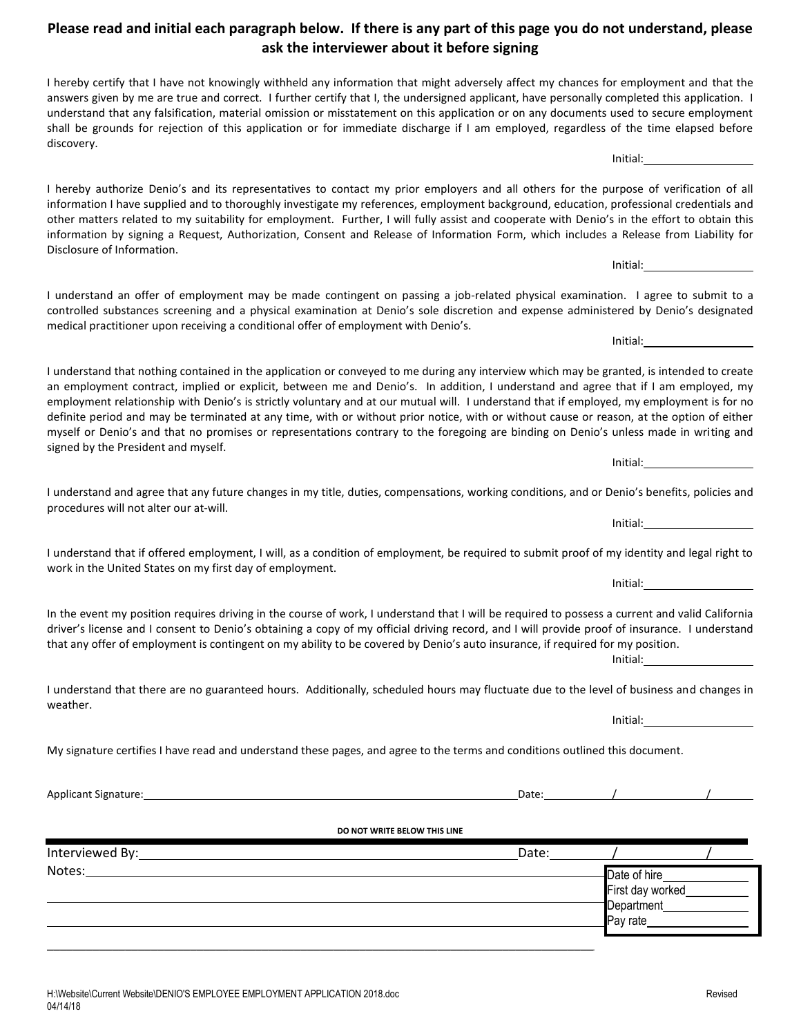## **Please read and initial each paragraph below. If there is any part of this page you do not understand, please ask the interviewer about it before signing**

I hereby certify that I have not knowingly withheld any information that might adversely affect my chances for employment and that the answers given by me are true and correct. I further certify that I, the undersigned applicant, have personally completed this application. I understand that any falsification, material omission or misstatement on this application or on any documents used to secure employment shall be grounds for rejection of this application or for immediate discharge if I am employed, regardless of the time elapsed before discovery. Initial:

I hereby authorize Denio's and its representatives to contact my prior employers and all others for the purpose of verification of all information I have supplied and to thoroughly investigate my references, employment background, education, professional credentials and other matters related to my suitability for employment. Further, I will fully assist and cooperate with Denio's in the effort to obtain this information by signing a Request, Authorization, Consent and Release of Information Form, which includes a Release from Liability for Disclosure of Information.

I understand an offer of employment may be made contingent on passing a job-related physical examination. I agree to submit to a controlled substances screening and a physical examination at Denio's sole discretion and expense administered by Denio's designated medical practitioner upon receiving a conditional offer of employment with Denio's.

I understand that nothing contained in the application or conveyed to me during any interview which may be granted, is intended to create an employment contract, implied or explicit, between me and Denio's. In addition, I understand and agree that if I am employed, my employment relationship with Denio's is strictly voluntary and at our mutual will. I understand that if employed, my employment is for no definite period and may be terminated at any time, with or without prior notice, with or without cause or reason, at the option of either myself or Denio's and that no promises or representations contrary to the foregoing are binding on Denio's unless made in writing and signed by the President and myself.

I understand and agree that any future changes in my title, duties, compensations, working conditions, and or Denio's benefits, policies and procedures will not alter our at-will.

I understand that if offered employment, I will, as a condition of employment, be required to submit proof of my identity and legal right to work in the United States on my first day of employment.

In the event my position requires driving in the course of work, I understand that I will be required to possess a current and valid California driver's license and I consent to Denio's obtaining a copy of my official driving record, and I will provide proof of insurance. I understand that any offer of employment is contingent on my ability to be covered by Denio's auto insurance, if required for my position.

I understand that there are no guaranteed hours. Additionally, scheduled hours may fluctuate due to the level of business and changes in weather.

My signature certifies I have read and understand these pages, and agree to the terms and conditions outlined this document.

Applicant Signature: 1000 / 2000 / 2000 / 2000 / 2000 / 2000 / 2000 / 2000 / 2000 / 2000 / 2000 / 2000 / 2000 / 2000 / 2000 / 2000 / 2000 / 2000 / 2000 / 2000 / 2000 / 2000 / 2000 / 2000 / 2000 / 2000 / 2000 / 2000 / 2000

## **DO NOT WRITE BELOW THIS LINE**

| Interviewed By: | Date: |                                                 |  |
|-----------------|-------|-------------------------------------------------|--|
| Notes:          |       | Date of hire<br>First day worked<br>$P$ ay rate |  |

Initial:

Initial:

Initial:

Initial:

Initial:

Initial:

Initial: